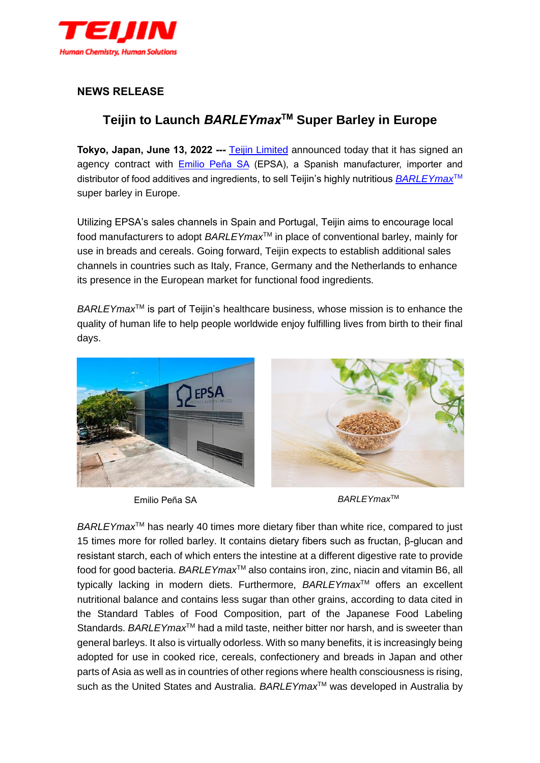

## **NEWS RELEASE**

## **Teijin to Launch** *BARLEYmax***TM Super Barley in Europe**

**Tokyo, Japan, June 13, 2022 ---** [Teijin Limited](https://www.teijin.com/) announced today that it has signed an agency contract with [Emilio Peña SA](https://epsa.net/en/) (EPSA), a Spanish manufacturer, importer and distributor of food additives and ingredients, to sell Teijin's highly nutritious *[BARLEYmax](https://biolier.jp/en/barleymax/)*TM super barley in Europe.

Utilizing EPSA's sales channels in Spain and Portugal, Teijin aims to encourage local food manufacturers to adopt *BARLEYmax*TM in place of conventional barley, mainly for use in breads and cereals. Going forward, Teijin expects to establish additional sales channels in countries such as Italy, France, Germany and the Netherlands to enhance its presence in the European market for functional food ingredients.

*BARLEYmax*<sup>™</sup> is part of Teijin's healthcare business, whose mission is to enhance the quality of human life to help people worldwide enjoy fulfilling lives from birth to their final days.





*BARLEYmax*TM Emilio Peña SA

*BARLEYmax*TM has nearly 40 times more dietary fiber than white rice, compared to just 15 times more for rolled barley. It contains dietary fibers such as fructan, β-glucan and resistant starch, each of which enters the intestine at a different digestive rate to provide food for good bacteria. *BARLEYmax*TM also contains iron, zinc, niacin and vitamin B6, all typically lacking in modern diets. Furthermore, *BARLEYmax*TM offers an excellent nutritional balance and contains less sugar than other grains, according to data cited in the Standard Tables of Food Composition, part of the Japanese Food Labeling Standards. *BARLEYmax*<sup>™</sup> had a mild taste, neither bitter nor harsh, and is sweeter than general barleys. It also is virtually odorless. With so many benefits, it is increasingly being adopted for use in cooked rice, cereals, confectionery and breads in Japan and other parts of Asia as well as in countries of other regions where health consciousness is rising, such as the United States and Australia. *BARLEYmax*<sup>™</sup> was developed in Australia by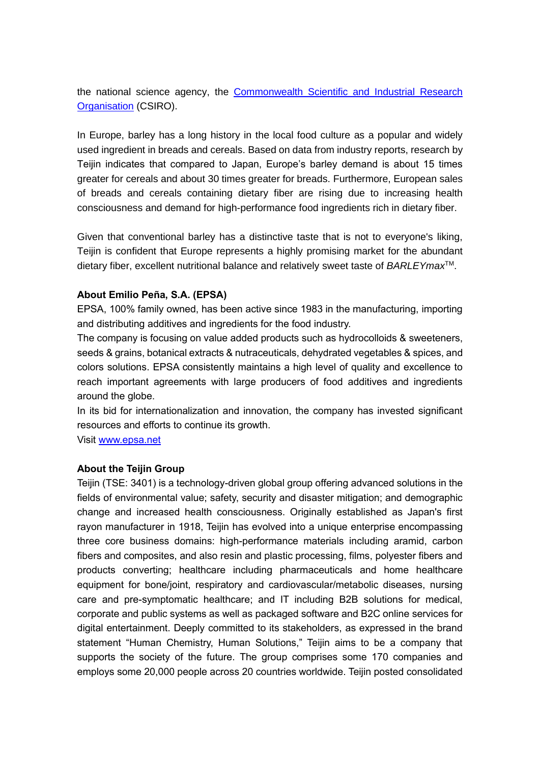the national science agency, the [Commonwealth Scientific and Industrial Research](https://www.csiro.au/)  [Organisation](https://www.csiro.au/) (CSIRO).

In Europe, barley has a long history in the local food culture as a popular and widely used ingredient in breads and cereals. Based on data from industry reports, research by Teijin indicates that compared to Japan, Europe's barley demand is about 15 times greater for cereals and about 30 times greater for breads. Furthermore, European sales of breads and cereals containing dietary fiber are rising due to increasing health consciousness and demand for high-performance food ingredients rich in dietary fiber.

Given that conventional barley has a distinctive taste that is not to everyone's liking, Teijin is confident that Europe represents a highly promising market for the abundant dietary fiber, excellent nutritional balance and relatively sweet taste of *BARLEYmax*TM.

## **About Emilio Peña, S.A. (EPSA)**

EPSA, 100% family owned, has been active since 1983 in the manufacturing, importing and distributing additives and ingredients for the food industry.

The company is focusing on value added products such as hydrocolloids & sweeteners, seeds & grains, botanical extracts & nutraceuticals, dehydrated vegetables & spices, and colors solutions. EPSA consistently maintains a high level of quality and excellence to reach important agreements with large producers of food additives and ingredients around the globe.

In its bid for internationalization and innovation, the company has invested significant resources and efforts to continue its growth.

Visit [www.epsa.net](http://www.epsa.net/)

## **About the Teijin Group**

Teijin (TSE: 3401) is a technology-driven global group offering advanced solutions in the fields of environmental value; safety, security and disaster mitigation; and demographic change and increased health consciousness. Originally established as Japan's first rayon manufacturer in 1918, Teijin has evolved into a unique enterprise encompassing three core business domains: high-performance materials including aramid, carbon fibers and composites, and also resin and plastic processing, films, polyester fibers and products converting; healthcare including pharmaceuticals and home healthcare equipment for bone/joint, respiratory and cardiovascular/metabolic diseases, nursing care and pre-symptomatic healthcare; and IT including B2B solutions for medical, corporate and public systems as well as packaged software and B2C online services for digital entertainment. Deeply committed to its stakeholders, as expressed in the brand statement "Human Chemistry, Human Solutions," Teijin aims to be a company that supports the society of the future. The group comprises some 170 companies and employs some 20,000 people across 20 countries worldwide. Teijin posted consolidated